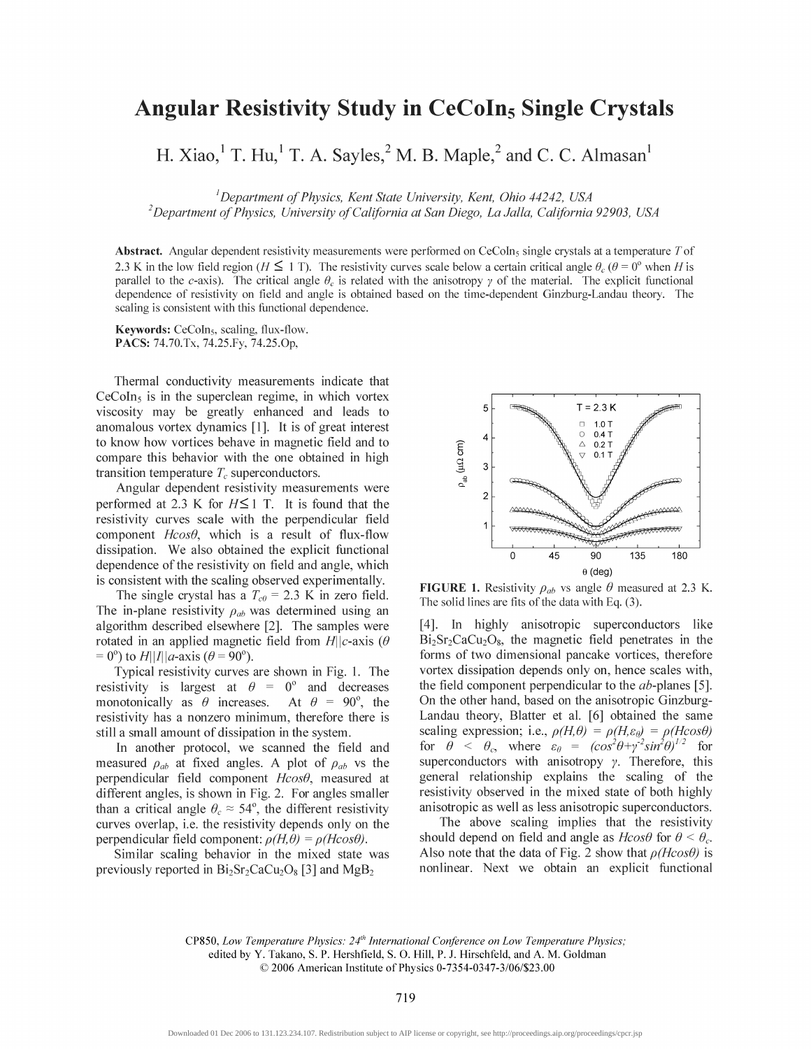## **Angular Resistivity Study in CeCoIn<sub>5</sub> Single Crystals**

H. Xiao, <sup>1</sup> T. Hu, <sup>1</sup> T. A. Sayles,  $^2$  M. B. Maple,  $^2$  and C. C. Almasan<sup>1</sup>

<sup>1</sup>Department of Physics, Kent State University, Kent, Ohio 44242, USA

 $^{2}$ Department of Physics, University of California at San Diego, La Jalla, California 92903, USA

**Abstract.** Angular dependent resistivity measurements were performed on CeCoIn<sub>5</sub> single crystals at a temperature T of 2.3 K in the low field region ( $H \leq 1$  T). The resistivity curves scale below a certain critical angle  $\theta_c$  ( $\theta = 0^\circ$  when H is parallel to the c-axis). The critical angle  $\theta_c$  is related with the anisotropy  $\gamma$  of the material. The explicit functional dependence of resistivity on field and angle is obtained based on the time-dependent Ginzburg-Landau theory. The scaling is consistent with this functional dependence.

Keywords: CeCoIn<sub>5</sub>, scaling, flux-flow. PACS: 74.70.Tx, 74.25.Fy, 74.25.Op,

Thermal conductivity measurements indicate that  $CeCoIn<sub>5</sub>$  is in the superclean regime, in which vortex viscosity may be greatly enhanced and leads to anomalous vortex dynamics [1]. It is of great interest to know how vortices behave in magnetic field and to compare this behavior with the one obtained in high transition temperature  $T_c$  superconductors.

Angular dependent resistivity measurements were performed at 2.3 K for  $H\leq 1$  T. It is found that the resistivity curves scale with the perpendicular field component  $H\cos\theta$ , which is a result of flux-flow dissipation. We also obtained the explicit functional dependence of the resistivity on field and angle, which is consistent with the scaling observed experimentally.

The single crystal has a  $T_{c0} = 2.3$  K in zero field. The in-plane resistivity  $\rho_{ab}$  was determined using an algorithm described elsewhere [2]. The samples were rotated in an applied magnetic field from  $H||c$ -axis ( $\theta$  $= 0^{\circ}$  to H||I||a-axis ( $\theta = 90^{\circ}$ ).

Typical resistivity curves are shown in Fig. 1. The resistivity is largest at  $\theta = 0^{\circ}$  and decreases monotonically as  $\theta$  increases. At  $\theta = 90^{\circ}$ , the resistivity has a nonzero minimum, therefore there is still a small amount of dissipation in the system.

In another protocol, we scanned the field and measured  $\rho_{ab}$  at fixed angles. A plot of  $\rho_{ab}$  vs the perpendicular field component  $H\cos\theta$ , measured at different angles, is shown in Fig. 2. For angles smaller than a critical angle  $\theta_c \approx 54^\circ$ , the different resistivity curves overlap, i.e. the resistivity depends only on the perpendicular field component:  $\rho(H,\theta) = \rho(H\cos\theta)$ .

Similar scaling behavior in the mixed state was previously reported in  $Bi_2Sr_2CaCu_2O_8$  [3] and  $MgB_2$ 



**FIGURE 1.** Resistivity  $\rho_{ab}$  vs angle  $\theta$  measured at 2.3 K. The solid lines are fits of the data with Eq.  $(3)$ .

[4]. In highly anisotropic superconductors like  $Bi<sub>2</sub>Sr<sub>2</sub>CaCu<sub>2</sub>O<sub>8</sub>$ , the magnetic field penetrates in the forms of two dimensional pancake vortices, therefore vortex dissipation depends only on, hence scales with, the field component perpendicular to the *ab*-planes [5]. On the other hand, based on the anisotropic Ginzburg-Landau theory, Blatter et al. [6] obtained the same scaling expression; i.e.,  $\rho(H,\theta) = \rho(H,\varepsilon_{\theta}) = \rho(H\cos\theta)$ for  $\theta < \theta_c$ , where  $\varepsilon_{\theta} = (cos^2 \theta + y^2 sin^2 \theta)^{1/2}$  for superconductors with anisotropy  $\gamma$ . Therefore, this general relationship explains the scaling of the resistivity observed in the mixed state of both highly anisotropic as well as less anisotropic superconductors.

The above scaling implies that the resistivity should depend on field and angle as  $H\cos\theta$  for  $\theta < \theta_c$ . Also note that the data of Fig. 2 show that  $\rho(H\cos\theta)$  is nonlinear. Next we obtain an explicit functional

CP850, Low Temperature Physics: 24<sup>th</sup> International Conference on Low Temperature Physics; edited by Y. Takano, S. P. Hershfield, S. O. Hill, P. J. Hirschfeld, and A. M. Goldman © 2006 American Institute of Physics 0-7354-0347-3/06/\$23.00